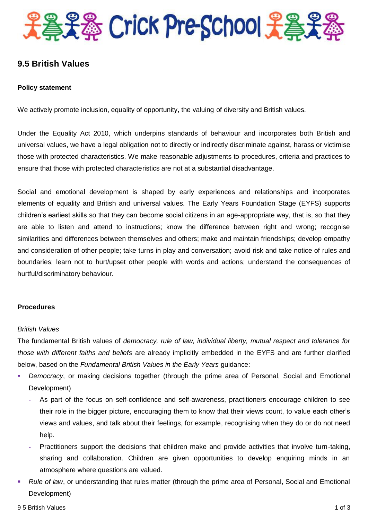

## **9.5 British Values**

#### **Policy statement**

We actively promote inclusion, equality of opportunity, the valuing of diversity and British values.

Under the Equality Act 2010, which underpins standards of behaviour and incorporates both British and universal values, we have a legal obligation not to directly or indirectly discriminate against, harass or victimise those with protected characteristics. We make reasonable adjustments to procedures, criteria and practices to ensure that those with protected characteristics are not at a substantial disadvantage.

Social and emotional development is shaped by early experiences and relationships and incorporates elements of equality and British and universal values. The Early Years Foundation Stage (EYFS) supports children's earliest skills so that they can become social citizens in an age-appropriate way, that is, so that they are able to listen and attend to instructions; know the difference between right and wrong; recognise similarities and differences between themselves and others; make and maintain friendships; develop empathy and consideration of other people; take turns in play and conversation; avoid risk and take notice of rules and boundaries; learn not to hurt/upset other people with words and actions; understand the consequences of hurtful/discriminatory behaviour.

#### **Procedures**

#### *British Values*

The fundamental British values of *democracy, rule of law, individual liberty, mutual respect and tolerance for those with different faiths and beliefs* are already implicitly embedded in the EYFS and are further clarified below, based on the *Fundamental British Values in the Early Years* guidance:

- *Democracy*, or making decisions together (through the prime area of Personal, Social and Emotional Development)
	- **-** As part of the focus on self-confidence and self-awareness, practitioners encourage children to see their role in the bigger picture, encouraging them to know that their views count, to value each other's views and values, and talk about their feelings, for example, recognising when they do or do not need help.
	- **-** Practitioners support the decisions that children make and provide activities that involve turn-taking, sharing and collaboration. Children are given opportunities to develop enquiring minds in an atmosphere where questions are valued.
- *Rule of law*, or understanding that rules matter (through the prime area of Personal, Social and Emotional Development)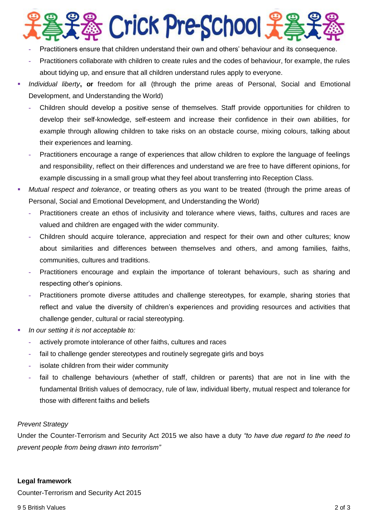# ※ Crick Pre-School 子:

- **-** Practitioners ensure that children understand their own and others' behaviour and its consequence.
- **-** Practitioners collaborate with children to create rules and the codes of behaviour, for example, the rules about tidying up, and ensure that all children understand rules apply to everyone.
- *Individual liberty***, or** freedom for all (through the prime areas of Personal, Social and Emotional Development, and Understanding the World)
	- **-** Children should develop a positive sense of themselves. Staff provide opportunities for children to develop their self-knowledge, self-esteem and increase their confidence in their own abilities, for example through allowing children to take risks on an obstacle course, mixing colours, talking about their experiences and learning.
	- **-** Practitioners encourage a range of experiences that allow children to explore the language of feelings and responsibility, reflect on their differences and understand we are free to have different opinions, for example discussing in a small group what they feel about transferring into Reception Class.
- *Mutual respect and tolerance*, or treating others as you want to be treated (through the prime areas of Personal, Social and Emotional Development, and Understanding the World)
	- **-** Practitioners create an ethos of inclusivity and tolerance where views, faiths, cultures and races are valued and children are engaged with the wider community.
	- **-** Children should acquire tolerance, appreciation and respect for their own and other cultures; know about similarities and differences between themselves and others, and among families, faiths, communities, cultures and traditions.
	- **-** Practitioners encourage and explain the importance of tolerant behaviours, such as sharing and respecting other's opinions.
	- **-** Practitioners promote diverse attitudes and challenge stereotypes, for example, sharing stories that reflect and value the diversity of children's experiences and providing resources and activities that challenge gender, cultural or racial stereotyping.
- *In our setting it is not acceptable to:*
	- **-** actively promote intolerance of other faiths, cultures and races
	- **-** fail to challenge gender stereotypes and routinely segregate girls and boys
	- **-** isolate children from their wider community
	- **-** fail to challenge behaviours (whether of staff, children or parents) that are not in line with the fundamental British values of democracy, rule of law, individual liberty, mutual respect and tolerance for those with different faiths and beliefs

## *Prevent Strategy*

Under the Counter-Terrorism and Security Act 2015 we also have a duty *"to have due regard to the need to prevent people from being drawn into terrorism"*

#### **Legal framework**

Counter-Terrorism and Security Act 2015